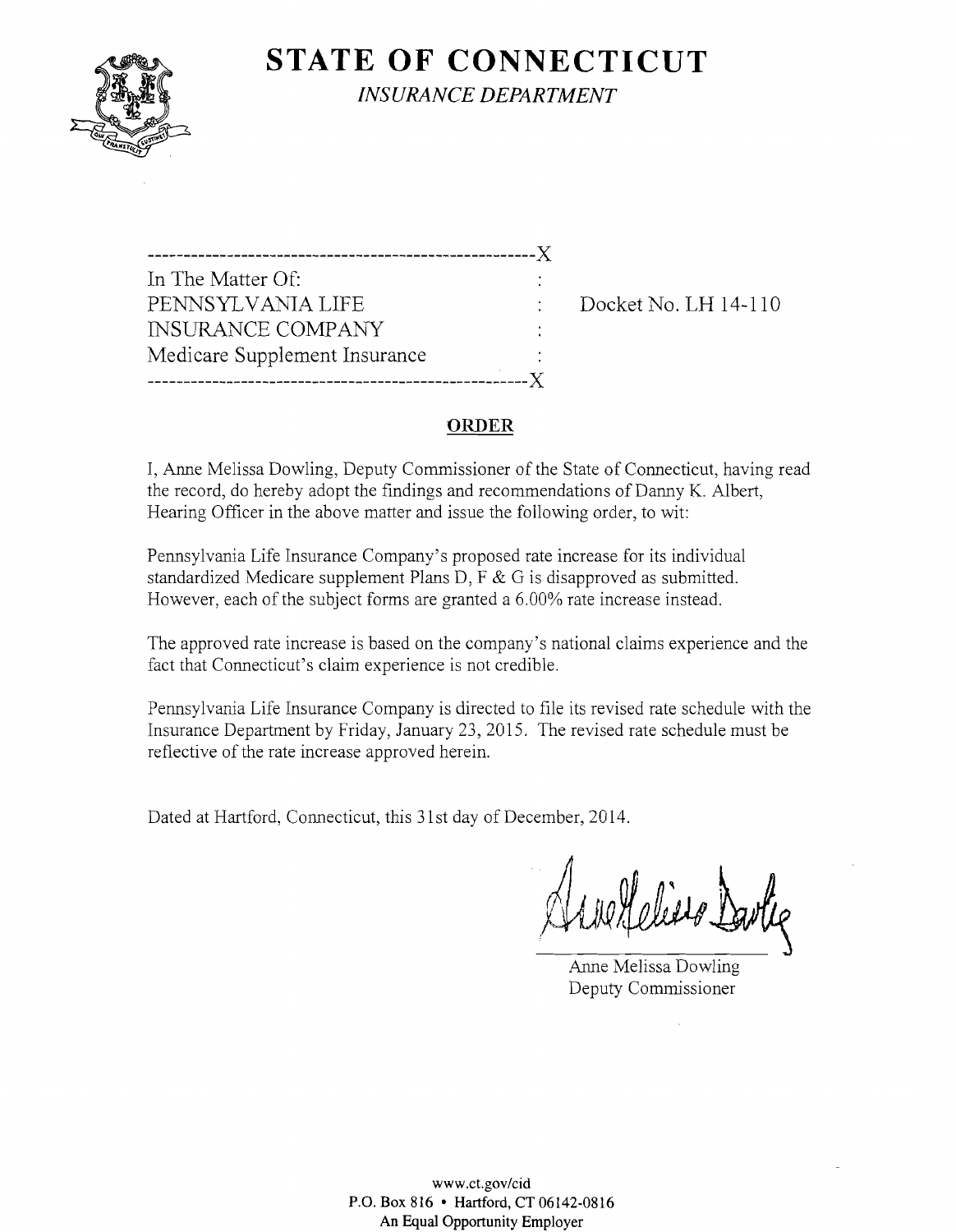

**STATE OF CONNECTICUT** 

*INSURANCE DEPARTMENT* 

------------------------------------------------------)( In The Matter Of: PENNSYLVANIA LIFE Docket No. LH 14-110 INSURANCE COMPANY Medicare Supplement Insurance ------------------------------------------------\_.\_---x

# **ORDER**

I, Anne Melissa Dowling, Deputy Commissioner of the State of Connecticut, having read the record, do hereby adopt the findings and recommendations of Danny K. Albert, Hearing Officer in the above matter and issue the following order, to wit:

Pennsylvania Life Insurance Company's proposed rate increase for its individual standardized Medicare supplement Plans D, F  $&$  G is disapproved as submitted. However, each of the subject forms are granted a 6.00% rate increase instead.

The approved rate increase is based on the company's national claims experience and the fact that Connecticut's claim experience is not credible.

Pennsylvania Life Insurance Company is directed to file its revised rate schedule with the Insurance Department by Friday, January 23,2015. The revised rate schedule must be reflective of the rate increase approved herein.

Dated at Hartford, Connecticut, this 31st day of December, 2014.

Client Dartie

Anne Melissa Dowling Deputy Commissioner

www.ct.gov/cid P.O. Box 816 • Hartford, CT 06142-0816 An Equal Opportunity Employer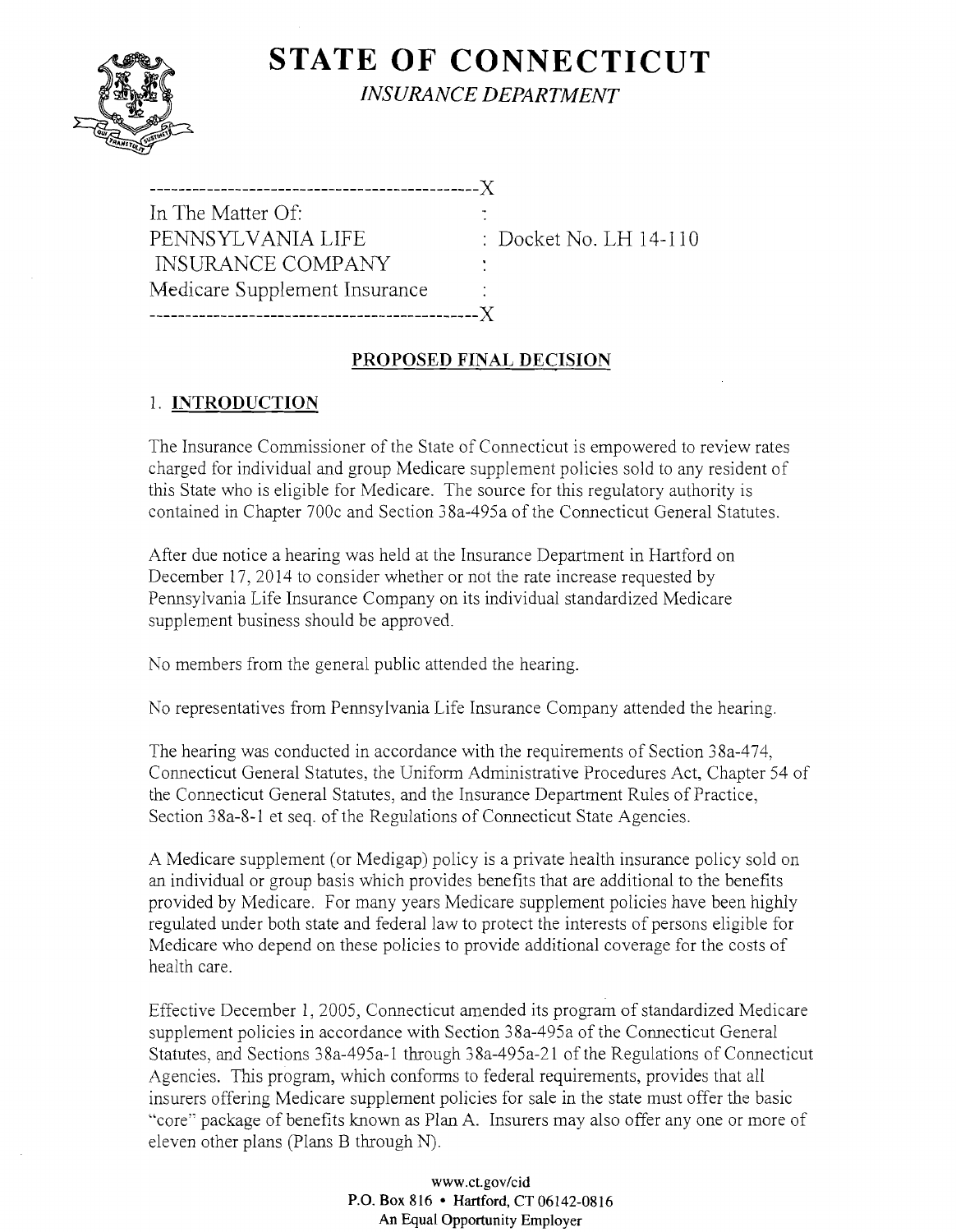

# **STATE OF CONNECTICUT** *INSURANCE DEPARTMENT*

| In The Matter Of:             |     |
|-------------------------------|-----|
| PENNSYLVANIA LIFE             |     |
| <b>INSURANCE COMPANY</b>      | × 1 |
| Medicare Supplement Insurance |     |
|                               |     |

Pocket No. LH 14-110

#### **PROPOSED FINAL DECISION**

# 1. **INTRODUCTION**

The Insurance Commissioner of the State of Connecticut is empowered to review rates charged for individual and group Medicare supplement policies sold to any resident of this State who is eligible for Medicare. The source for this regulatory authority is contained in Chapter 700c and Section 38a-495a of the Connecticut General Statutes.

After due notice a hearing was held at the Insurance Department in Hartford on December 17, 2014 to consider whether or not the rate increase requested by Pennsylvania Life Insurance Company on its individual standardized Medicare supplement business should be approved.

No members from the general public attended the hearing.

No representatives from Pennsylvania Life Insurance Company attended the hearing.

The hearing was conducted in accordance with the requirements of Section 38a-474, Connecticut General Statutes, the Uniform Administrative Procedures Act, Chapter 54 of the Connecticut General Statutes, and the Insurance Department Rules of Practice, Section 38a-8-1 et seq. of the Regulations of Connecticut State Agencies.

A Medicare supplement (or Medigap) policy is a private health insurance policy sold on an individual or group basis which provides benefits that are additional to the benefits provided by Medicare. For many years Medicare supplement policies have been highly regulated under both state and federal law to protect the interests of persons eligible for Medicare who depend on these policies to provide additional coverage for the costs of health care.

Effective December 1, 2005, Connecticut amended its program of standardized Medicare supplement policies in accordance with Section 38a-495a of the Connecticut General Statutes, and Sections 38a-495a-1 through 38a-495a-21 of the Regulations of Connecticut Agencies. This program, which conforms to federal requirements, provides that all insurers offering Medicare supplement policies for sale in the state must offer the basic "core" package of benefits known as Plan A. Insurers may also offer anyone or more of eleven other plans (Plans B through N).

> www.ct.gov/cid P.O. Box 816 • Hartford, CT 06142-0816 An Equal Opportunity Employer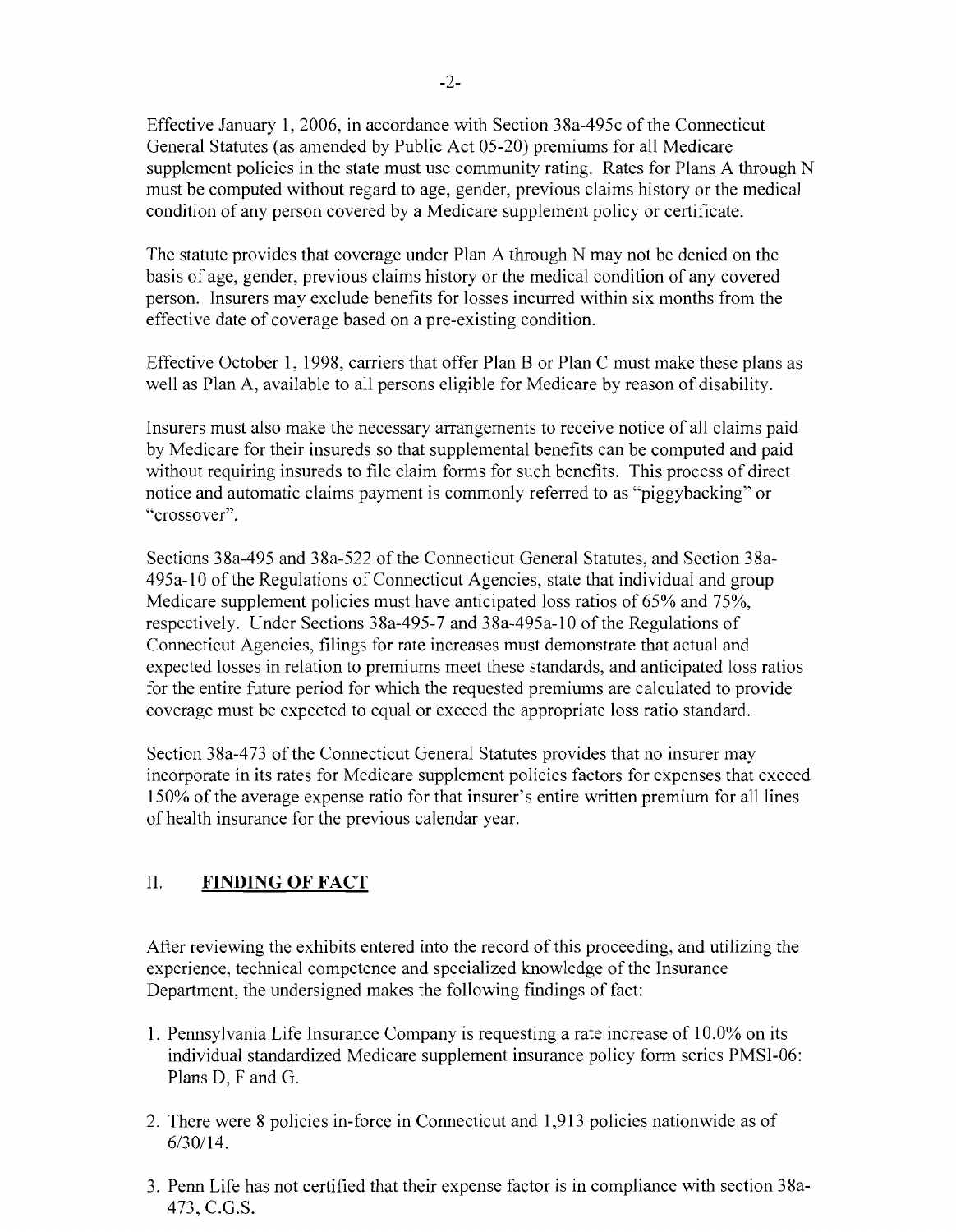Effective January 1,2006, in accordance with Section 38a-495c of the Connecticut General Statutes (as amended by Public Act 05-20) premiums for all Medicare supplement policies in the state must use community rating. Rates for Plans A through N must be computed without regard to age, gender, previous claims history or the medical condition of any person covered by a Medicare supplement policy or certificate.

The statute provides that coverage under Plan A through N may not be denied on the basis of age, gender, previous claims history or the medical condition of any covered person. Insurers may exclude benefits for losses incurred within six months from the effective date of coverage based on a pre-existing condition.

Effective October 1, 1998, carriers that offer Plan B or Plan C must make these plans as well as Plan A, available to all persons eligible for Medicare by reason of disability.

Insurers must also make the necessary arrangements to receive notice of all claims paid by Medicare for their insureds so that supplemental benefits can be computed and paid without requiring insureds to file claim forms for such benefits. This process of direct notice and automatic claims payment is commonly referred to as "piggybacking" or "crossover".

Sections 38a-495 and 38a-522 of the Connecticut General Statutes, and Section 38a-495a-l0 of the Regulations of Connecticut Agencies, state that individual and group Medicare supplement policies must have anticipated loss ratios of 65% and 75%, respectively. Under Sections 38a-495-7 and 38a-495a-l0 of the Regulations of Connecticut Agencies, filings for rate increases must demonstrate that actual and expected losses in relation to premiums meet these standards, and anticipated loss ratios for the entire future period for which the requested premiums are calculated to provide coverage must be expected to equal or exceed the appropriate loss ratio standard.

Section 38a-473 of the Connecticut General Statutes provides that no insurer may incorporate in its rates for Medicare supplement policies factors for expenses that exceed 150% of the average expense ratio for that insurer's entire written premium for all lines of health insurance for the previous calendar year.

# II. **FINDING OF FACT**

After reviewing the exhibits entered into the record of this proceeding, and utilizing the experience, technical competence and specialized knowledge of the Insurance Department, the undersigned makes the following findings of fact:

- 1. Pennsylvania Life Insurance Company is requesting a rate increase of 10.0% on its individual standardized Medicare supplement insurance policy form series PMSI-06: Plans D, F and G.
- 2. There were 8 policies in-force in Connecticut and 1,913 policies nationwide as of 6/30/14.
- 3. Penn Life has not certified that their expense factor is in compliance with section 38a-473, C.G.S.